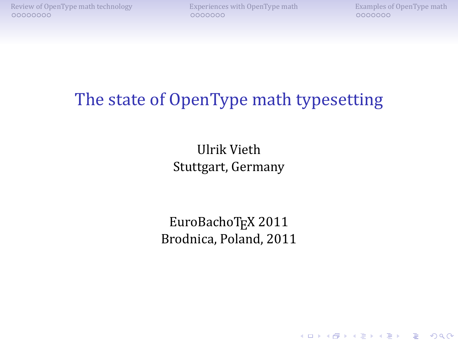**KORK ERKENKEY ABY ORA** 

## The state of OpenType math typesetting

Ulrik Vieth Stuttgart, Germany

EuroBachoTEX 2011 Brodnica, Poland, 2011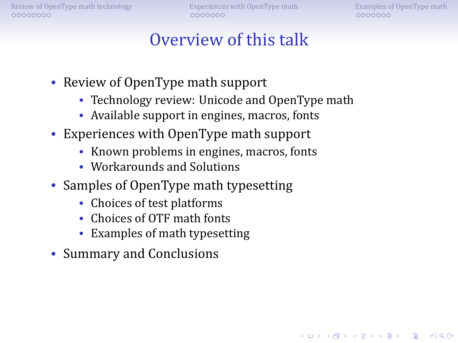[Review of OpenType math technology](#page-2-0)<br>  $\begin{array}{ccc}\n\text{Experiences with OpenType math} \\
\text{OOOOOOO} \\
\text{OOOOOOO} \\
\end{array}$  $\begin{array}{ccc}\n\text{Experiences with OpenType math} \\
\text{OOOOOOO} \\
\text{OOOOOOO} \\
\end{array}$  $\begin{array}{ccc}\n\text{Experiences with OpenType math} \\
\text{OOOOOOO} \\
\text{OOOOOOO} \\
\end{array}$ 

KOD KA TERKER E VAQ

### Overview of this talk

- Review of OpenType math support
	- Technology review: Unicode and OpenType math
	- Available support in engines, macros, fonts
- Experiences with OpenType math support
	- Known problems in engines, macros, fonts
	- Workarounds and Solutions
- Samples of OpenType math typesetting
	- Choices of test platforms
	- Choices of OTF math fonts
	- Examples of math typesetting
- Summary and Conclusions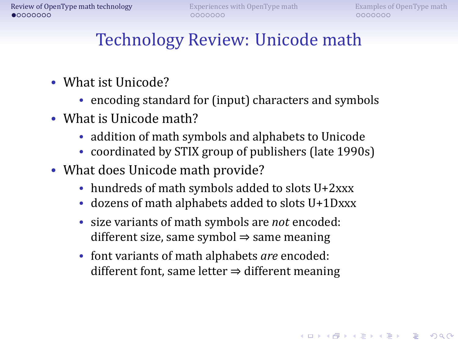# Technology Review: Unicode math

- What ist Unicode?
	- encoding standard for (input) characters and symbols
- What is Unicode math?
	- addition of math symbols and alphabets to Unicode
	- coordinated by STIX group of publishers (late 1990s)
- <span id="page-2-0"></span>• What does Unicode math provide?
	- hundreds of math symbols added to slots U+2xxx
	- dozens of math alphabets added to slots U+1Dxxx
	- size variants of math symbols are *not* encoded: different size, same symbol  $\Rightarrow$  same meaning
	- font variants of math alphabets *are* encoded: different font, same letter  $\Rightarrow$  different meaning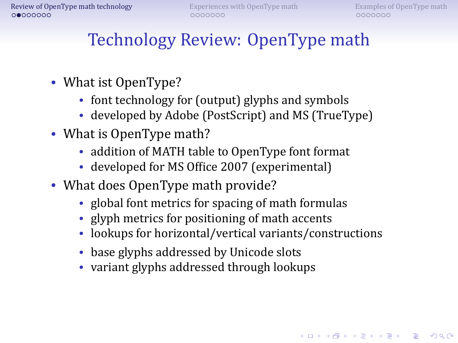# Technology Review: OpenType math

- What ist OpenType?
	- font technology for (output) glyphs and symbols
	- developed by Adobe (PostScript) and MS (TrueType)
- What is OpenType math?
	- addition of MATH table to OpenType font format
	- developed for MS Ofice 2007 (experimental)
- What does OpenType math provide?
	- global font metrics for spacing of math formulas
	- glyph metrics for positioning of math accents
	- lookups for horizontal/vertical variants/constructions
	- base glyphs addressed by Unicode slots
	- variant glyphs addressed through lookups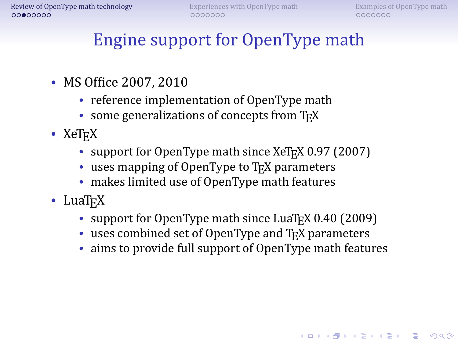**KORK ERKER IN SACK** 

# Engine support for OpenType math

- MS Office 2007, 2010
	- reference implementation of OpenType math
	- some generalizations of concepts from T<sub>F</sub>X
- $XeT_FX$ 
	- support for OpenType math since XeT<sub>E</sub>X 0.97 (2007)
	- uses mapping of OpenType to T<sub>F</sub>X parameters
	- makes limited use of OpenType math features
- $LuaT_FX$ 
	- support for OpenType math since LuaT<sub>EX</sub> 0.40 (2009)
	- $\bullet$  uses combined set of OpenType and T<sub>E</sub>X parameters
	- aims to provide full support of OpenType math features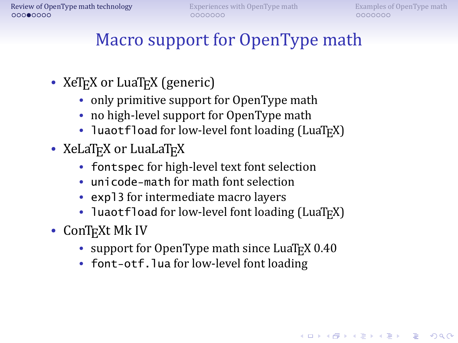# Macro support for OpenType math

- XeT<sub>E</sub>X or LuaT<sub>E</sub>X (generic)
	- only primitive support for OpenType math
	- no high-level support for OpenType math
	- luaotfload for low-level font loading (LuaT<sub>E</sub>X)
- XeLaT<sub>F</sub>X or LuaLaT<sub>F</sub>X
	- fontspec for high-level text font selection
	- unicode-math for math font selection
	- expl3 for intermediate macro layers
	- luaotfload for low-level font loading (LuaT $FX$ )
- ConT<sub>E</sub>Xt Mk IV
	- support for OpenType math since LuaTEX 0.40
	- font-otf. lua for low-level font loading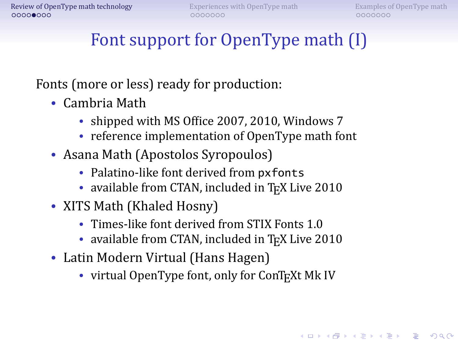# Font support for OpenType math (I)

Fonts (more or less) ready for production:

- Cambria Math
	- shipped with MS Ofice 2007, 2010, Windows 7
	- reference implementation of OpenType math font
- Asana Math (Apostolos Syropoulos)
	- Palatino-like font derived from pxfonts
	- available from CTAN, included in TFX Live 2010
- XITS Math (Khaled Hosny)
	- Times-like font derived from STIX Fonts 1.0
	- available from CTAN, included in TFX Live 2010
- Latin Modern Virtual (Hans Hagen)
	- virtual OpenType font, only for ConT<sub>E</sub>Xt Mk IV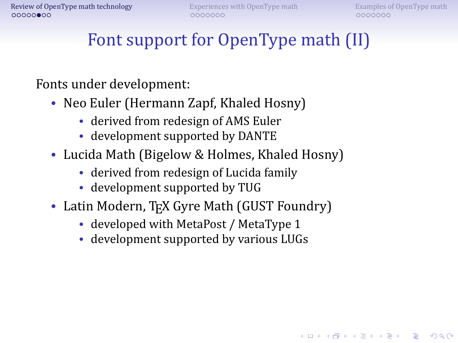**KORK ERKER IN SACK** 

# Font support for OpenType math (II)

#### Fonts under development:

- Neo Euler (Hermann Zapf, Khaled Hosny)
	- derived from redesign of AMS Euler
	- development supported by DANTE
- Lucida Math (Bigelow & Holmes, Khaled Hosny)
	- derived from redesign of Lucida family
	- development supported by TUG
- Latin Modern, TEX Gyre Math (GUST Foundry)
	- developed with MetaPost / MetaType 1
	- development supported by various LUGs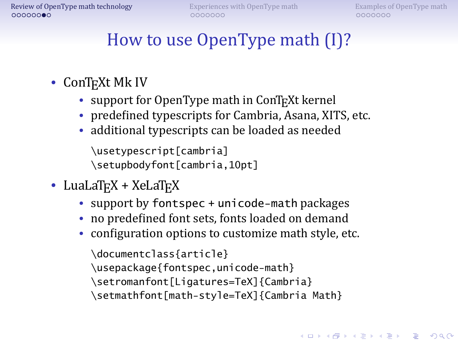# How to use OpenType math (I)?

- ConT<sub>E</sub>Xt Mk IV
	- support for OpenType math in ConT<sub>E</sub>Xt kernel
	- predefined typescripts for Cambria, Asana, XITS, etc.
	- additional typescripts can be loaded as needed

\usetypescript[cambria] \setupbodyfont[cambria,10pt]

- LuaLaT<sub>E</sub>X +  $X$ eLaT<sub>E</sub>X
	- support by fontspec + unicode-math packages
	- no predefined font sets, fonts loaded on demand
	- configuration options to customize math style, etc.

\documentclass{article}

\usepackage{fontspec,unicode-math}

\setromanfont[Ligatures=TeX]{Cambria}

\setmathfont[math-style=TeX]{Cambria Math}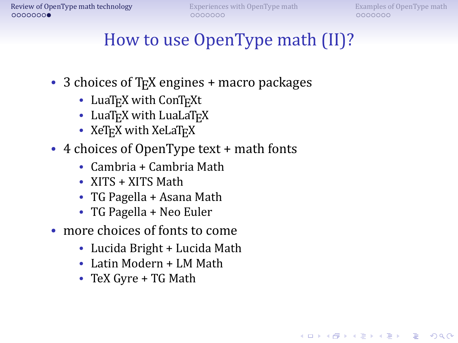**KORK ERKER IN SACK** 

## How to use OpenType math (II)?

- 3 choices of T<sub>F</sub>X engines + macro packages
	- LuaT<sub>EX</sub> with ConT<sub>EXt</sub>
	- LuaT<sub>E</sub>X with LuaLaT<sub>E</sub>X
	- XeT<sub>E</sub>X with XeLaT<sub>E</sub>X
- 4 choices of OpenType text + math fonts
	- Cambria + Cambria Math
	- XITS + XITS Math
	- TG Pagella + Asana Math
	- TG Pagella + Neo Euler
- more choices of fonts to come
	- Lucida Bright + Lucida Math
	- Latin Modern + LM Math
	- TeX Gyre + TG Math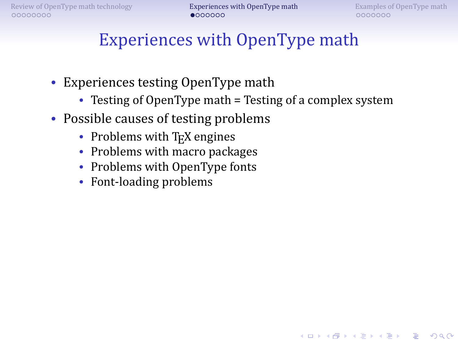## Experiences with OpenType math

- Experiences testing OpenType math
	- Testing of OpenType math = Testing of a complex system
- <span id="page-10-0"></span>• Possible causes of testing problems
	- Problems with T<sub>E</sub>X engines
	- Problems with macro packages
	- Problems with OpenType fonts
	- Font-loading problems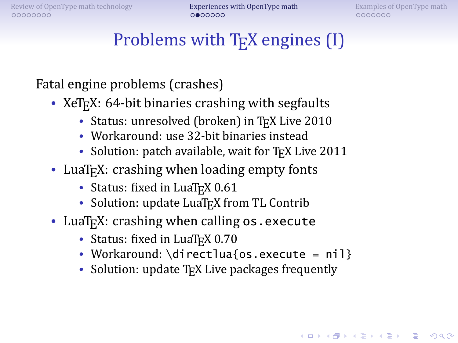0000000

**KORKA SERVER ORA** 

## Problems with T<sub>E</sub>X engines (I)

Fatal engine problems (crashes)

- XeTFX: 64-bit binaries crashing with segfaults
	- Status: unresolved (broken) in TFX Live 2010
	- Workaround: use 32-bit binaries instead
	- Solution: patch available, wait for TFX Live 2011
- LuaT<sub>E</sub>X: crashing when loading empty fonts
	- Status: fixed in LuaT<sub>E</sub>X 0.61
	- Solution: update LuaT<sub>E</sub>X from TL Contrib
- LuaT<sub>F</sub>X: crashing when calling os . execute
	- Status: fixed in LuaT<sub>EX</sub> 0.70
	- Workaround: \directlua{os.execute = nil}
	- Solution: update  $T_FX$  Live packages frequently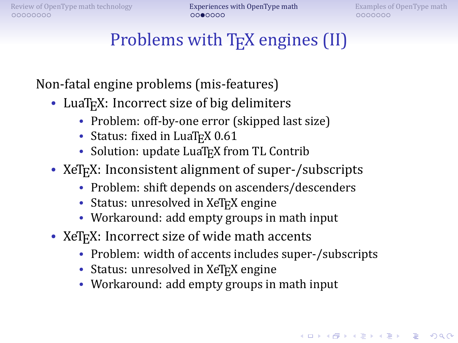0000000

**KORKA SERVER ORA** 

## Problems with T<sub>E</sub>X engines (II)

Non-fatal engine problems (mis-features)

- LuaT<sub>F</sub>X: Incorrect size of big delimiters
	- Problem: off-by-one error (skipped last size)
	- Status: fixed in LuaTFX 0.61
	- Solution: update LuaT<sub>E</sub>X from TL Contrib
- XeT<sub>E</sub>X: Inconsistent alignment of super-/subscripts
	- Problem: shift depends on ascenders/descenders
	- Status: unresolved in XeT<sub>E</sub>X engine
	- Workaround: add empty groups in math input
- XeT<sub>F</sub>X: Incorrect size of wide math accents
	- Problem: width of accents includes super-/subscripts
	- Status: unresolved in  $XeT$ <sub>E</sub>X engine
	- Workaround: add empty groups in math input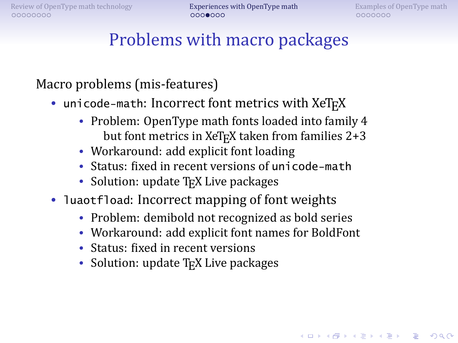**A DIA 4 BIA A BIA DE A POLO** 

### Problems with macro packages

Macro problems (mis-features)

- unicode-math: Incorrect font metrics with XeTFX
	- Problem: OpenType math fonts loaded into family 4 but font metrics in XeTFX taken from families 2+3
	- Workaround: add explicit font loading
	- Status: fixed in recent versions of unicode-math
	- Solution: update T<sub>E</sub>X Live packages
- luaotfload: Incorrect mapping of font weights
	- Problem: demibold not recognized as bold series
	- Workaround: add explicit font names for BoldFont
	- Status: fixed in recent versions
	- Solution: update T<sub>E</sub>X Live packages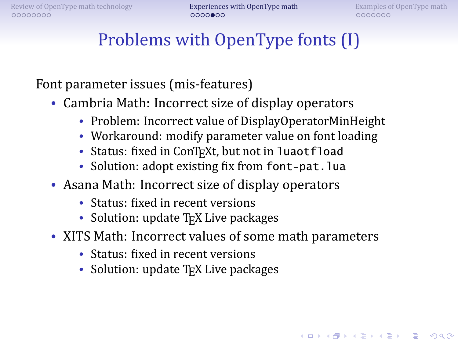## Problems with OpenType fonts (I)

Font parameter issues (mis-features)

- Cambria Math: Incorrect size of display operators
	- Problem: Incorrect value of DisplayOperatorMinHeight
	- Workaround: modify parameter value on font loading
	- Status: fixed in ConTFXt, but not in luaotfload
	- Solution: adopt existing fix from font-pat.lua
- Asana Math: Incorrect size of display operators
	- Status: fixed in recent versions
	- Solution: update  $T_FX$  Live packages
- XITS Math: Incorrect values of some math parameters
	- Status: fixed in recent versions
	- Solution: update  $T_FX$  Live packages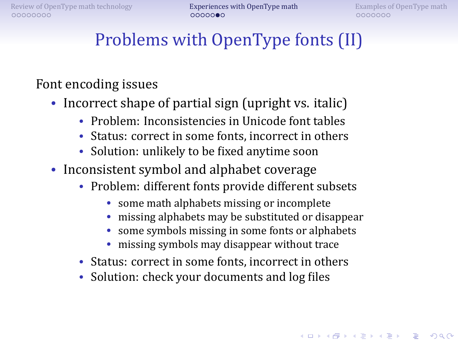## Problems with OpenType fonts (II)

#### Font encoding issues

- Incorrect shape of partial sign (upright vs. italic)
	- Problem: Inconsistencies in Unicode font tables
	- Status: correct in some fonts, incorrect in others
	- Solution: unlikely to be fixed anytime soon
- Inconsistent symbol and alphabet coverage
	- Problem: different fonts provide different subsets
		- some math alphabets missing or incomplete
		- missing alphabets may be substituted or disappear
		- some symbols missing in some fonts or alphabets
		- missing symbols may disappear without trace
	- Status: correct in some fonts, incorrect in others
	- Solution: check your documents and log files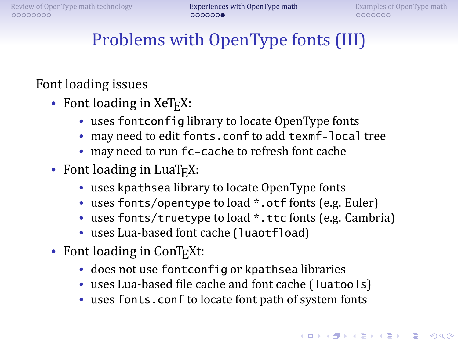# Problems with OpenType fonts (III)

### Font loading issues

- Font loading in XeT<sub>F</sub>X:
	- uses fontconfig library to locate OpenType fonts
	- may need to edit fonts.conf to add texmf-local tree
	- may need to run fc-cache to refresh font cache
- Font loading in LuaT<sub>E</sub>X:
	- uses kpathsea library to locate OpenType fonts
	- uses fonts/opentype to load \*.otf fonts (e.g. Euler)
	- uses fonts/truetype to load \*.ttc fonts (e.g. Cambria)
	- uses Lua-based font cache (luaotfload)
- Font loading in  $ConTrXt$ :
	- does not use fontconfig or kpathsea libraries
	- uses Lua-based file cache and font cache (luatools)
	- uses fonts.conf to locate font path of system fonts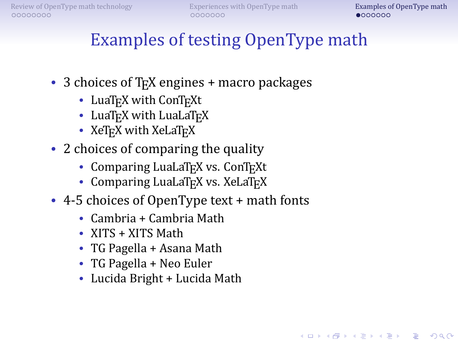## Examples of testing OpenType math

- 3 choices of T<sub>F</sub>X engines + macro packages
	- LuaT<sub>EX</sub> with ConT<sub>EXt</sub>
	- LuaT<sub>E</sub>X with LuaLaT<sub>E</sub>X
	- XeT<sub>E</sub>X with XeLaT<sub>E</sub>X
- 2 choices of comparing the quality
	- Comparing LuaLaT<sub>EX</sub> vs. ConT<sub>EXt</sub>
	- Comparing LuaLaT<sub>E</sub>X vs. XeLaT<sub>E</sub>X
- <span id="page-17-0"></span>• 4-5 choices of OpenType text + math fonts
	- Cambria + Cambria Math
	- XITS + XITS Math
	- TG Pagella + Asana Math
	- TG Pagella + Neo Euler
	- Lucida Bright + Lucida Math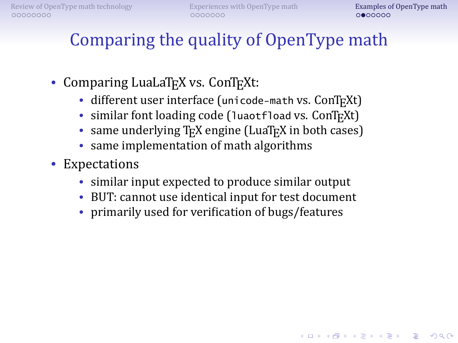## Comparing the quality of OpenType math

- Comparing LuaLaT<sub>E</sub>X vs. ConT<sub>E</sub>Xt:
	- different user interface (unicode-math vs. ConTFXt)
	- similar font loading code (luaotfload vs. ConTEXt)
	- same underlying  $T_F X$  engine (LuaT<sub>F</sub>X in both cases)
	- same implementation of math algorithms
- Expectations
	- similar input expected to produce similar output
	- BUT: cannot use identical input for test document
	- primarily used for verification of bugs/features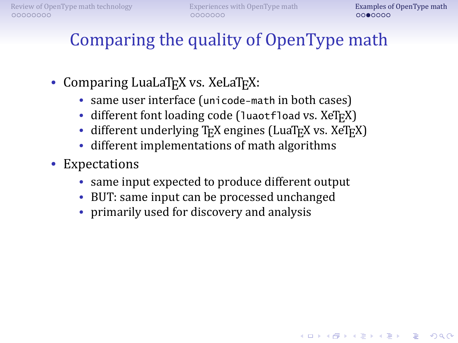# Comparing the quality of OpenType math

- Comparing LuaLaT<sub>E</sub>X vs. XeLaT<sub>E</sub>X:
	- same user interface (unicode-math in both cases)
	- different font loading code (luaotfload vs. XeTEX)
	- different underlying  $T_FX$  engines (LuaT<sub>EX</sub> vs. XeT<sub>EX</sub>)
	- different implementations of math algorithms
- Expectations
	- same input expected to produce different output
	- BUT: same input can be processed unchanged
	- primarily used for discovery and analysis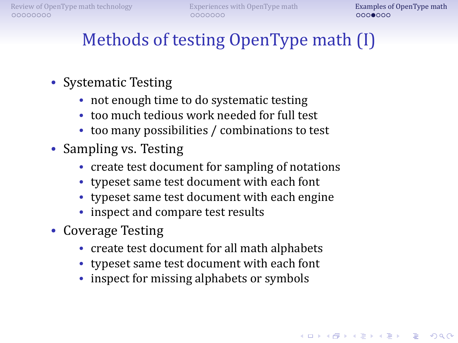# Methods of testing OpenType math (I)

- Systematic Testing
	- not enough time to do systematic testing
	- too much tedious work needed for full test
	- too many possibilities / combinations to test
- Sampling vs. Testing
	- create test document for sampling of notations
	- typeset same test document with each font
	- typeset same test document with each engine
	- inspect and compare test results
- Coverage Testing
	- create test document for all math alphabets
	- typeset same test document with each font
	- inspect for missing alphabets or symbols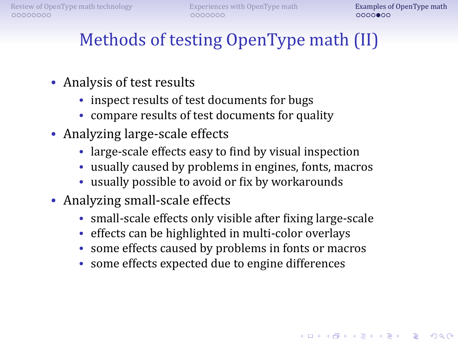**A DIA 4 BIA A BIA DE A POLO** 

# Methods of testing OpenType math (II)

- Analysis of test results
	- inspect results of test documents for bugs
	- compare results of test documents for quality
- Analyzing large-scale effects
	- large-scale effects easy to find by visual inspection
	- usually caused by problems in engines, fonts, macros
	- usually possible to avoid or fix by workarounds
- Analyzing small-scale effects
	- small-scale effects only visible after fixing large-scale
	- effects can be highlighted in multi-color overlays
	- some effects caused by problems in fonts or macros
	- some effects expected due to engine differences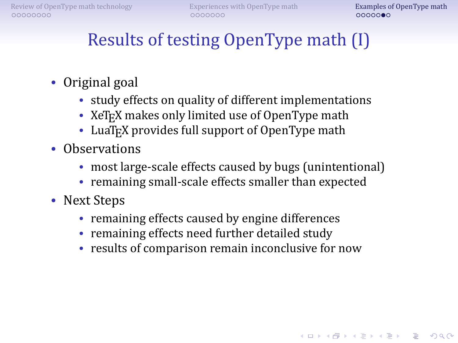# Results of testing OpenType math (I)

- Original goal
	- study effects on quality of different implementations
	- XeT<sub>F</sub>X makes only limited use of OpenType math
	- LuaT<sub>E</sub>X provides full support of OpenType math
- Observations
	- most large-scale effects caused by bugs (unintentional)
	- remaining small-scale effects smaller than expected
- Next Steps
	- remaining effects caused by engine differences
	- remaining effects need further detailed study
	- results of comparison remain inconclusive for now